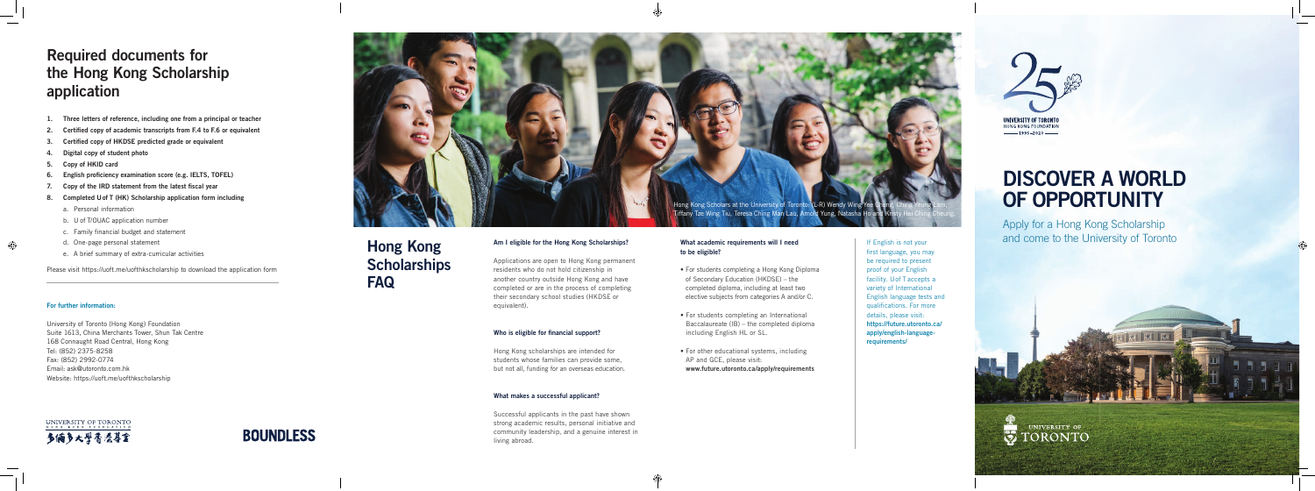- 1. Three letters of reference, including one from a principal or teacher
- 2. Certified copy of academic transcripts from F.4 to F.6 or equivalent
- 3. Certified copy of HKDSE predicted grade or equivalent
- 4. Digital copy of student photo
- 5. Copy of HKID card
- 6. English proficiency examination score (e.g. IELTS, TOFEL)
- 7. Copy of the IRD statement from the latest fiscal year
- 8. Completed U of T (HK) Scholarship application form including
	- a. Personal information
	- b. U of T/OUAC application number
	- c. Family financial budget and statement
	- d. One-page personal statement
	- e. A brief summary of extra-curricular activities

Please visit https://uoft.me/uofthkscholarship to download the application form

## Required documents for the Hong Kong Scholarship application

### For further information:

University of Toronto (Hong Kong) Foundation Suite 1613, China Merchants Tower, Shun Tak Centre 168 Connaught Road Central, Hong Kong Tel: (852) 2375-8258 Fax: (852) 2992-0774 Email: ask@utoronto.com.hk Website: https://uoft.me/uofthkscholarship

UNIVERSITY OF TORONTO 多倆多大學香港專金



### Am I eligible for the Hong Kong Scholarships?

Applications are open to Hong Kong permanent residents who do not hold citizenship in another country outside Hong Kong and have completed or are in the process of completing their secondary school studies (HKDSE or equivalent).

### Who is eligible for financial support?

Hong Kong scholarships are intended for students whose families can provide some, but not all, funding for an overseas education.

### What makes a successful applicant?

Successful applicants in the past have shown strong academic results, personal initiative and community leadership, and a genuine interest in living abroad.

## Hong Kong **Scholarships** FAQ

### What academic requirements will I need to be eligible?

- For students completing a Hong Kong Diploma of Secondary Education (HKDSE) – the completed diploma, including at least two elective subjects from categories A and/or C.
- For students completing an International Baccalaureate (IB) – the completed diploma including English HL or SL.
- For other educational systems, including AP and GCE, please visit: www.future.utoronto.ca/apply/requirements

If English is not your first language, you may be required to present proof of your English facility. U of T accepts a variety of International English language tests and qualifications. For more details, please visit: https://future.utoronto.ca/ apply/english-languagerequirements/





# DISCOVER A WORLD OF OPPORTUNITY

Apply for a Hong Kong Scholarship and come to the University of Toronto